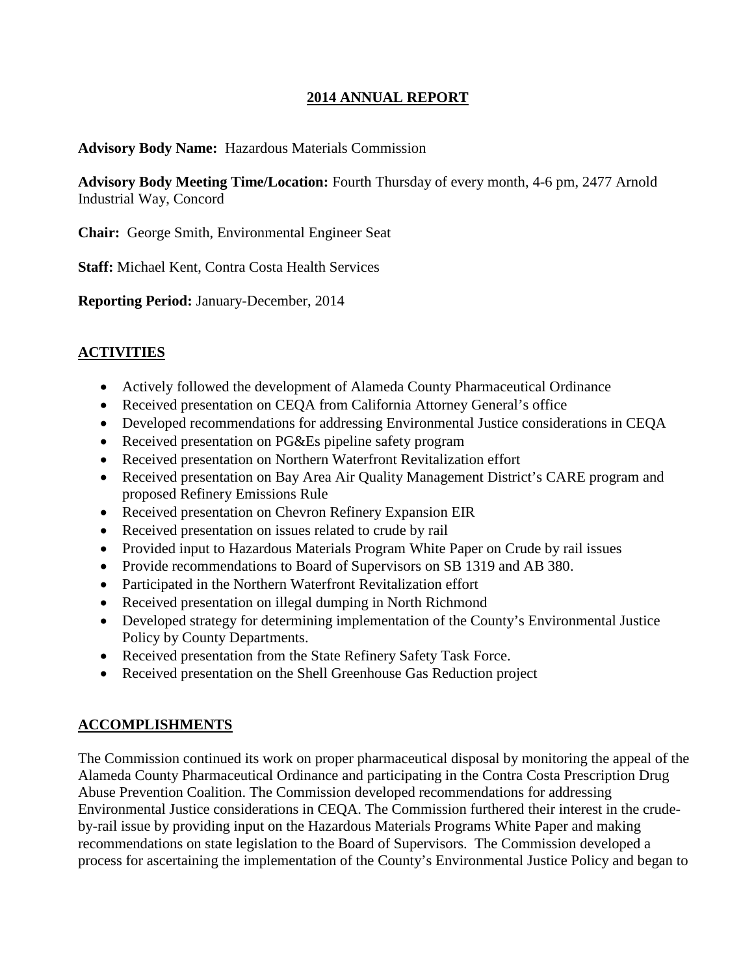## **2014 ANNUAL REPORT**

#### **Advisory Body Name:** Hazardous Materials Commission

**Advisory Body Meeting Time/Location:** Fourth Thursday of every month, 4-6 pm, 2477 Arnold Industrial Way, Concord

**Chair:** George Smith, Environmental Engineer Seat

**Staff:** Michael Kent, Contra Costa Health Services

**Reporting Period:** January-December, 2014

#### **ACTIVITIES**

- Actively followed the development of Alameda County Pharmaceutical Ordinance
- Received presentation on CEQA from California Attorney General's office
- Developed recommendations for addressing Environmental Justice considerations in CEQA
- Received presentation on PG&Es pipeline safety program
- Received presentation on Northern Waterfront Revitalization effort
- Received presentation on Bay Area Air Quality Management District's CARE program and proposed Refinery Emissions Rule
- Received presentation on Chevron Refinery Expansion EIR
- Received presentation on issues related to crude by rail
- Provided input to Hazardous Materials Program White Paper on Crude by rail issues
- Provide recommendations to Board of Supervisors on SB 1319 and AB 380.
- Participated in the Northern Waterfront Revitalization effort
- Received presentation on illegal dumping in North Richmond
- Developed strategy for determining implementation of the County's Environmental Justice Policy by County Departments.
- Received presentation from the State Refinery Safety Task Force.
- Received presentation on the Shell Greenhouse Gas Reduction project

#### **ACCOMPLISHMENTS**

The Commission continued its work on proper pharmaceutical disposal by monitoring the appeal of the Alameda County Pharmaceutical Ordinance and participating in the Contra Costa Prescription Drug Abuse Prevention Coalition. The Commission developed recommendations for addressing Environmental Justice considerations in CEQA. The Commission furthered their interest in the crudeby-rail issue by providing input on the Hazardous Materials Programs White Paper and making recommendations on state legislation to the Board of Supervisors. The Commission developed a process for ascertaining the implementation of the County's Environmental Justice Policy and began to